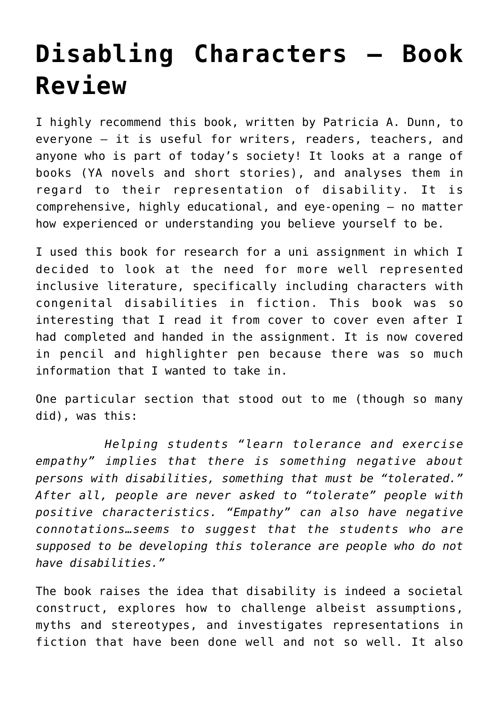## **[Disabling Characters – Book](https://www.glimpsinggembles.com/2017/01/04/disabling-characters-book-review/) [Review](https://www.glimpsinggembles.com/2017/01/04/disabling-characters-book-review/)**

I highly recommend this book, written by Patricia A. Dunn, to everyone – it is useful for writers, readers, teachers, and anyone who is part of today's society! It looks at a range of books (YA novels and short stories), and analyses them in regard to their representation of disability. It is comprehensive, highly educational, and eye-opening – no matter how experienced or understanding you believe yourself to be.

I used this book for research for a uni assignment in which I decided to look at the need for more well represented inclusive literature, specifically including characters with congenital disabilities in fiction. This book was so interesting that I read it from cover to cover even after I had completed and handed in the assignment. It is now covered in pencil and highlighter pen because there was so much information that I wanted to take in.

One particular section that stood out to me (though so many did), was this:

 *Helping students "learn tolerance and exercise empathy" implies that there is something negative about persons with disabilities, something that must be "tolerated." After all, people are never asked to "tolerate" people with positive characteristics. "Empathy" can also have negative connotations…seems to suggest that the students who are supposed to be developing this tolerance are people who do not have disabilities."*

The book raises the idea that disability is indeed a societal construct, explores how to challenge albeist assumptions, myths and stereotypes, and investigates representations in fiction that have been done well and not so well. It also